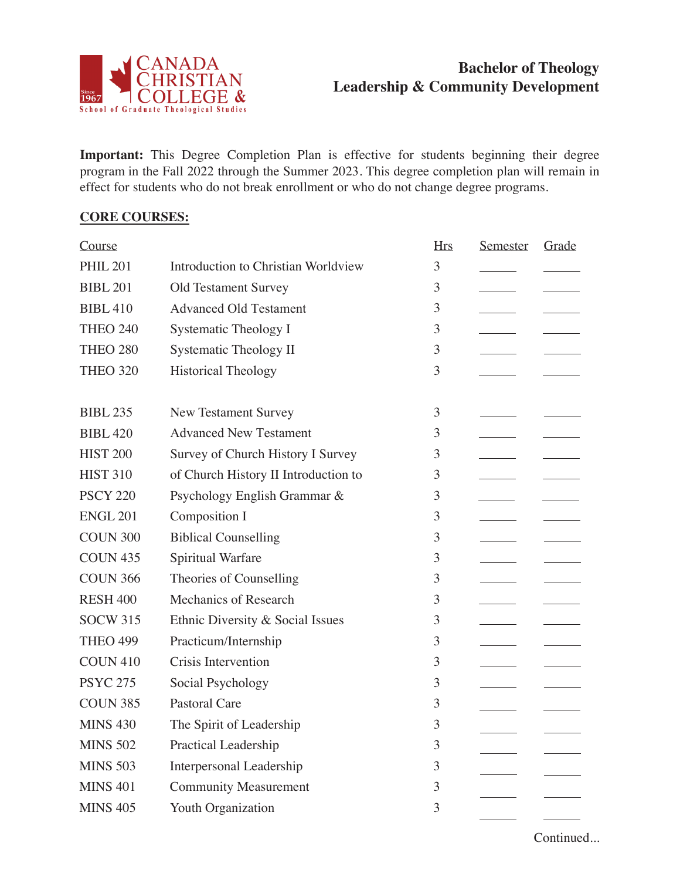

## **Bachelor of Theology Leadership & Community Development**

**Important:** This Degree Completion Plan is effective for students beginning their degree program in the Fall 2022 through the Summer 2023. This degree completion plan will remain in effect for students who do not break enrollment or who do not change degree programs.

## **CORE COURSES:**

| Course          |                                      | <b>Hrs</b> | <b>Semester</b> | Grade |
|-----------------|--------------------------------------|------------|-----------------|-------|
| <b>PHIL 201</b> | Introduction to Christian Worldview  | 3          |                 |       |
| <b>BIBL 201</b> | <b>Old Testament Survey</b>          | 3          |                 |       |
| <b>BIBL 410</b> | <b>Advanced Old Testament</b>        | 3          |                 |       |
| <b>THEO 240</b> | <b>Systematic Theology I</b>         | 3          |                 |       |
| <b>THEO 280</b> | Systematic Theology II               | 3          |                 |       |
| <b>THEO 320</b> | <b>Historical Theology</b>           | 3          |                 |       |
|                 |                                      |            |                 |       |
| <b>BIBL 235</b> | <b>New Testament Survey</b>          | 3          |                 |       |
| <b>BIBL 420</b> | <b>Advanced New Testament</b>        | 3          |                 |       |
| <b>HIST 200</b> | Survey of Church History I Survey    | 3          |                 |       |
| <b>HIST 310</b> | of Church History II Introduction to | 3          |                 |       |
| <b>PSCY 220</b> | Psychology English Grammar &         | 3          |                 |       |
| <b>ENGL 201</b> | Composition I                        | 3          |                 |       |
| <b>COUN 300</b> | <b>Biblical Counselling</b>          | 3          |                 |       |
| <b>COUN 435</b> | Spiritual Warfare                    | 3          |                 |       |
| <b>COUN 366</b> | Theories of Counselling              | 3          |                 |       |
| <b>RESH 400</b> | <b>Mechanics of Research</b>         | 3          |                 |       |
| <b>SOCW 315</b> | Ethnic Diversity & Social Issues     | 3          |                 |       |
| <b>THEO 499</b> | Practicum/Internship                 | 3          |                 |       |
| <b>COUN 410</b> | Crisis Intervention                  | 3          |                 |       |
| <b>PSYC 275</b> | Social Psychology                    | 3          |                 |       |
| <b>COUN 385</b> | <b>Pastoral Care</b>                 | 3          |                 |       |
| <b>MINS 430</b> | The Spirit of Leadership             | 3          |                 |       |
| <b>MINS 502</b> | Practical Leadership                 | 3          |                 |       |
| <b>MINS 503</b> | Interpersonal Leadership             | 3          |                 |       |
| <b>MINS 401</b> | <b>Community Measurement</b>         | 3          |                 |       |
| <b>MINS 405</b> | Youth Organization                   | 3          |                 |       |
|                 |                                      |            |                 |       |

Continued...